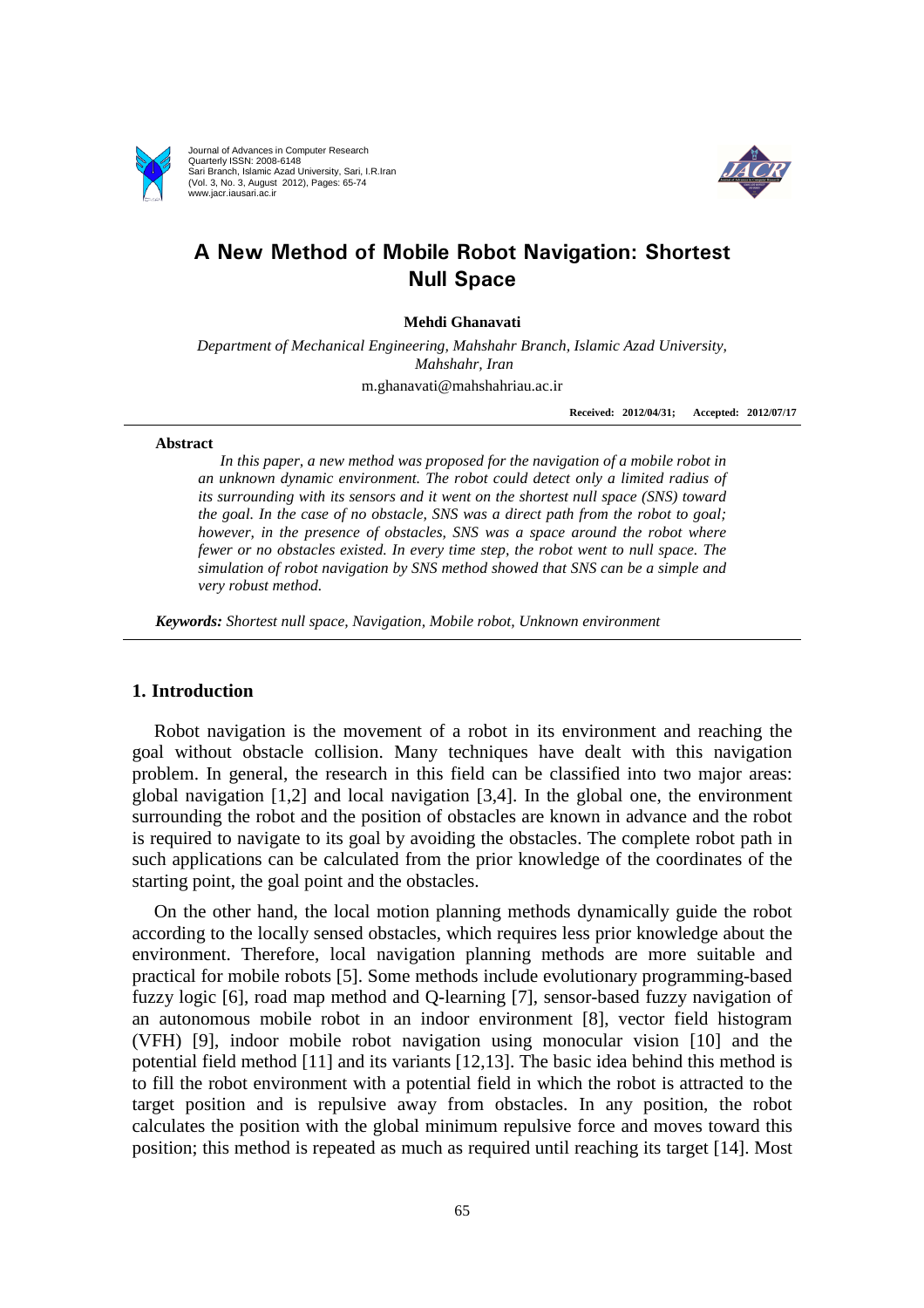

Journal of Advances in Computer Research Quarterly ISSN: 2008-6148 Sari Branch, Islamic Azad University, Sari, I.R.Iran (Vol. 3, No. 3, August 2012), Pages: 65-74 www.jacr.iausari.ac.ir



# **A New Method of Mobile Robot Navigation: Shortest Null Space**

**Mehdi Ghanavati** 

*Department of Mechanical Engineering, Mahshahr Branch, Islamic Azad University, Mahshahr, Iran*  m.ghanavati@mahshahriau.ac.ir

**Received: 2012/04/31; Accepted: 2012/07/17**

#### **Abstract**

*In this paper, a new method was proposed for the navigation of a mobile robot in an unknown dynamic environment. The robot could detect only a limited radius of its surrounding with its sensors and it went on the shortest null space (SNS) toward the goal. In the case of no obstacle, SNS was a direct path from the robot to goal; however, in the presence of obstacles, SNS was a space around the robot where fewer or no obstacles existed. In every time step, the robot went to null space. The simulation of robot navigation by SNS method showed that SNS can be a simple and very robust method.*

*Keywords: Shortest null space, Navigation, Mobile robot, Unknown environment* 

# **1. Introduction**

Robot navigation is the movement of a robot in its environment and reaching the goal without obstacle collision. Many techniques have dealt with this navigation problem. In general, the research in this field can be classified into two major areas: global navigation [1,2] and local navigation [3,4]. In the global one, the environment surrounding the robot and the position of obstacles are known in advance and the robot is required to navigate to its goal by avoiding the obstacles. The complete robot path in such applications can be calculated from the prior knowledge of the coordinates of the starting point, the goal point and the obstacles.

On the other hand, the local motion planning methods dynamically guide the robot according to the locally sensed obstacles, which requires less prior knowledge about the environment. Therefore, local navigation planning methods are more suitable and practical for mobile robots [5]. Some methods include evolutionary programming-based fuzzy logic [6], road map method and Q-learning [7], sensor-based fuzzy navigation of an autonomous mobile robot in an indoor environment [8], vector field histogram (VFH) [9], indoor mobile robot navigation using monocular vision [10] and the potential field method [11] and its variants [12,13]. The basic idea behind this method is to fill the robot environment with a potential field in which the robot is attracted to the target position and is repulsive away from obstacles. In any position, the robot calculates the position with the global minimum repulsive force and moves toward this position; this method is repeated as much as required until reaching its target [14]. Most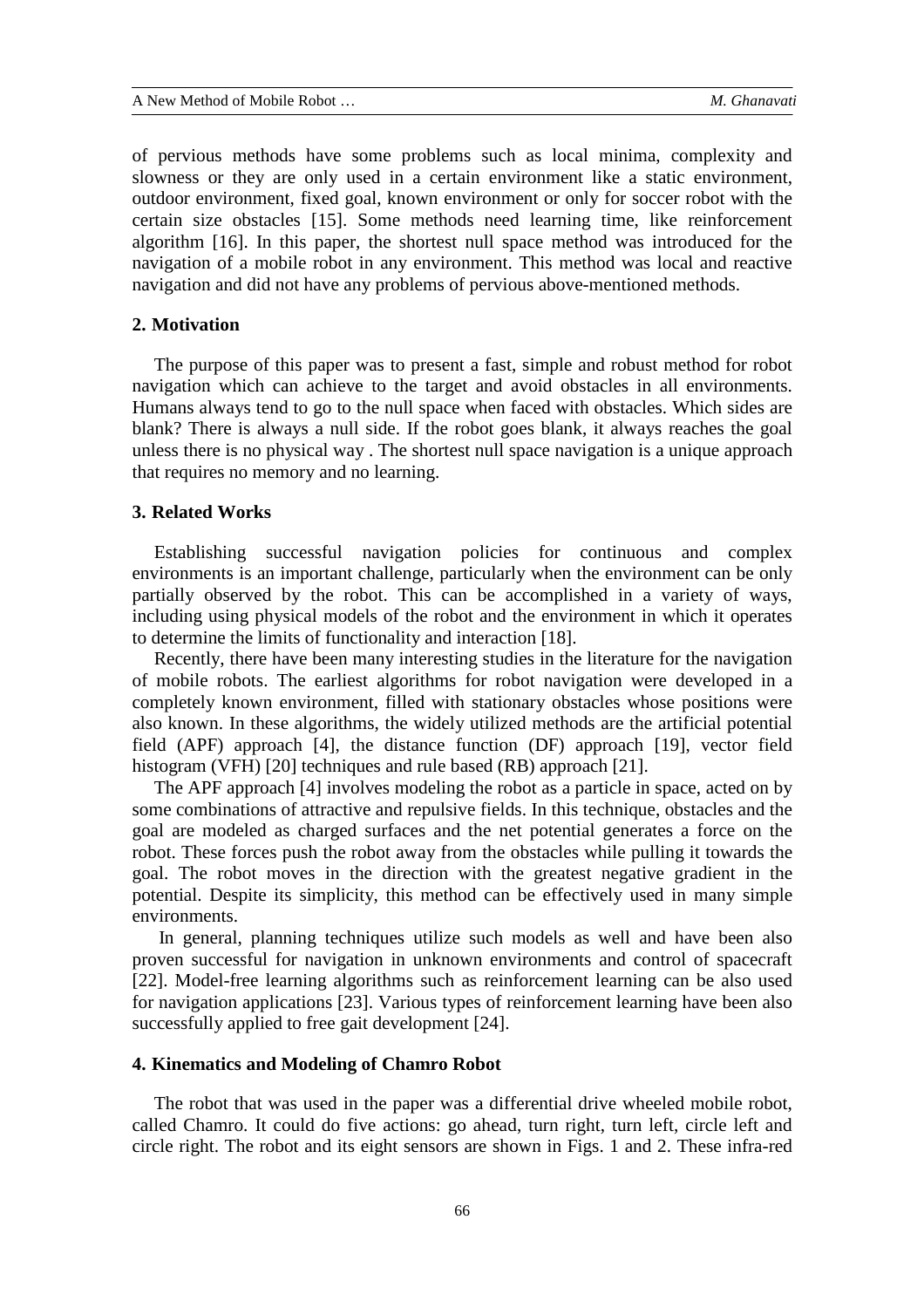of pervious methods have some problems such as local minima, complexity and slowness or they are only used in a certain environment like a static environment, outdoor environment, fixed goal, known environment or only for soccer robot with the certain size obstacles [15]. Some methods need learning time, like reinforcement algorithm [16]. In this paper, the shortest null space method was introduced for the navigation of a mobile robot in any environment. This method was local and reactive navigation and did not have any problems of pervious above-mentioned methods.

#### **2. Motivation**

The purpose of this paper was to present a fast, simple and robust method for robot navigation which can achieve to the target and avoid obstacles in all environments. Humans always tend to go to the null space when faced with obstacles. Which sides are blank? There is always a null side. If the robot goes blank, it always reaches the goal unless there is no physical way . The shortest null space navigation is a unique approach that requires no memory and no learning.

#### **3. Related Works**

Establishing successful navigation policies for continuous and complex environments is an important challenge, particularly when the environment can be only partially observed by the robot. This can be accomplished in a variety of ways, including using physical models of the robot and the environment in which it operates to determine the limits of functionality and interaction [18].

Recently, there have been many interesting studies in the literature for the navigation of mobile robots. The earliest algorithms for robot navigation were developed in a completely known environment, filled with stationary obstacles whose positions were also known. In these algorithms, the widely utilized methods are the artificial potential field (APF) approach [4], the distance function (DF) approach [19], vector field histogram (VFH) [20] techniques and rule based (RB) approach [21].

The APF approach [4] involves modeling the robot as a particle in space, acted on by some combinations of attractive and repulsive fields. In this technique, obstacles and the goal are modeled as charged surfaces and the net potential generates a force on the robot. These forces push the robot away from the obstacles while pulling it towards the goal. The robot moves in the direction with the greatest negative gradient in the potential. Despite its simplicity, this method can be effectively used in many simple environments.

 In general, planning techniques utilize such models as well and have been also proven successful for navigation in unknown environments and control of spacecraft [22]. Model-free learning algorithms such as reinforcement learning can be also used for navigation applications [23]. Various types of reinforcement learning have been also successfully applied to free gait development [24].

### **4. Kinematics and Modeling of Chamro Robot**

The robot that was used in the paper was a differential drive wheeled mobile robot, called Chamro. It could do five actions: go ahead, turn right, turn left, circle left and circle right. The robot and its eight sensors are shown in Figs. 1 and 2. These infra-red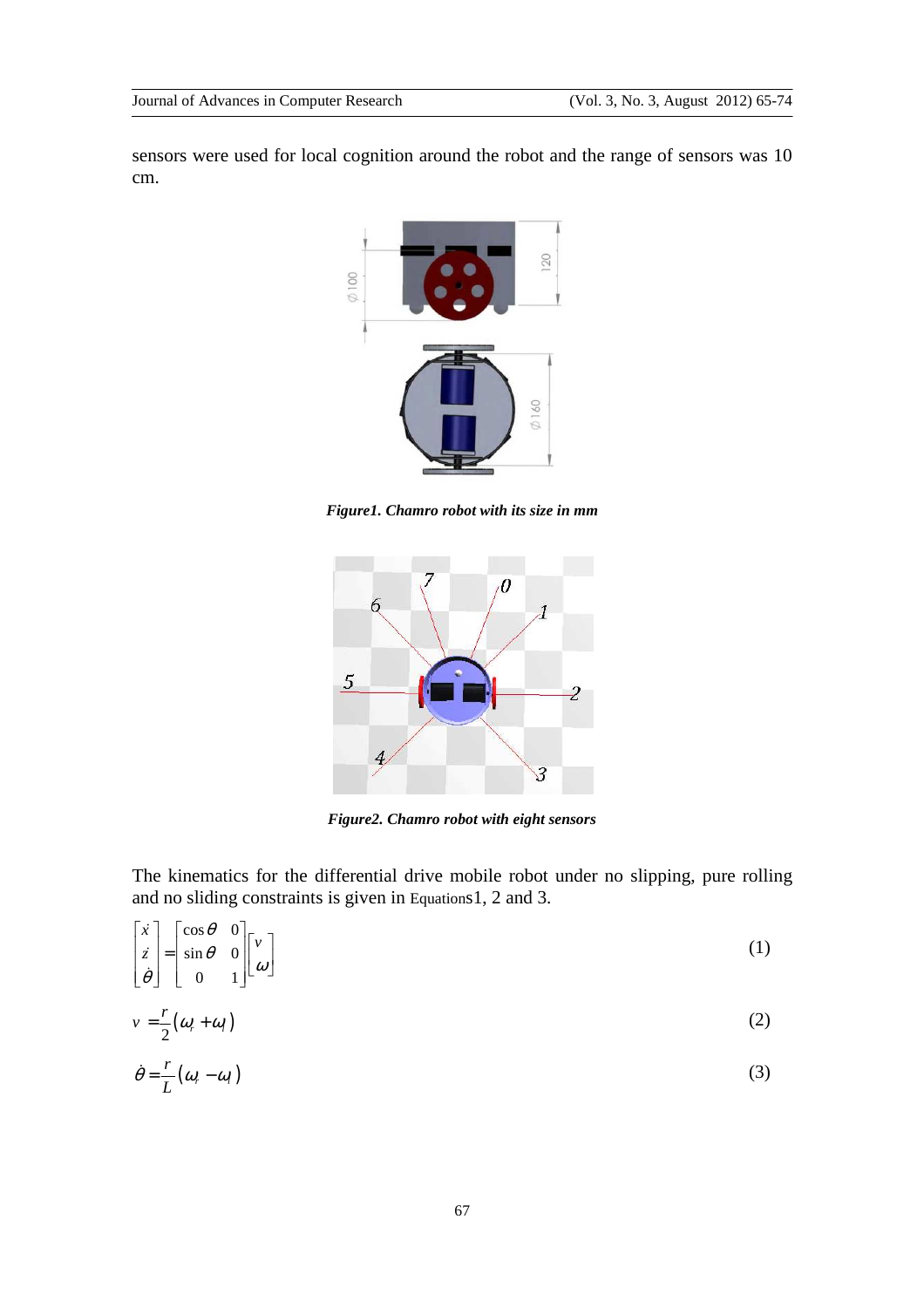sensors were used for local cognition around the robot and the range of sensors was 10 cm.



*Figure1. Chamro robot with its size in mm* 



*Figure2. Chamro robot with eight sensors* 

The kinematics for the differential drive mobile robot under no slipping, pure rolling and no sliding constraints is given in Equations1, 2 and 3.

$$
\begin{bmatrix} \dot{x} \\ \dot{z} \\ \dot{\theta} \end{bmatrix} = \begin{bmatrix} \cos \theta & 0 \\ \sin \theta & 0 \\ 0 & 1 \end{bmatrix} \begin{bmatrix} v \\ \omega \end{bmatrix}
$$
 (1)

$$
v = \frac{r}{2}(\omega_r + \omega_l) \tag{2}
$$

$$
\dot{\theta} = \frac{r}{L} (\omega_r - \omega_l) \tag{3}
$$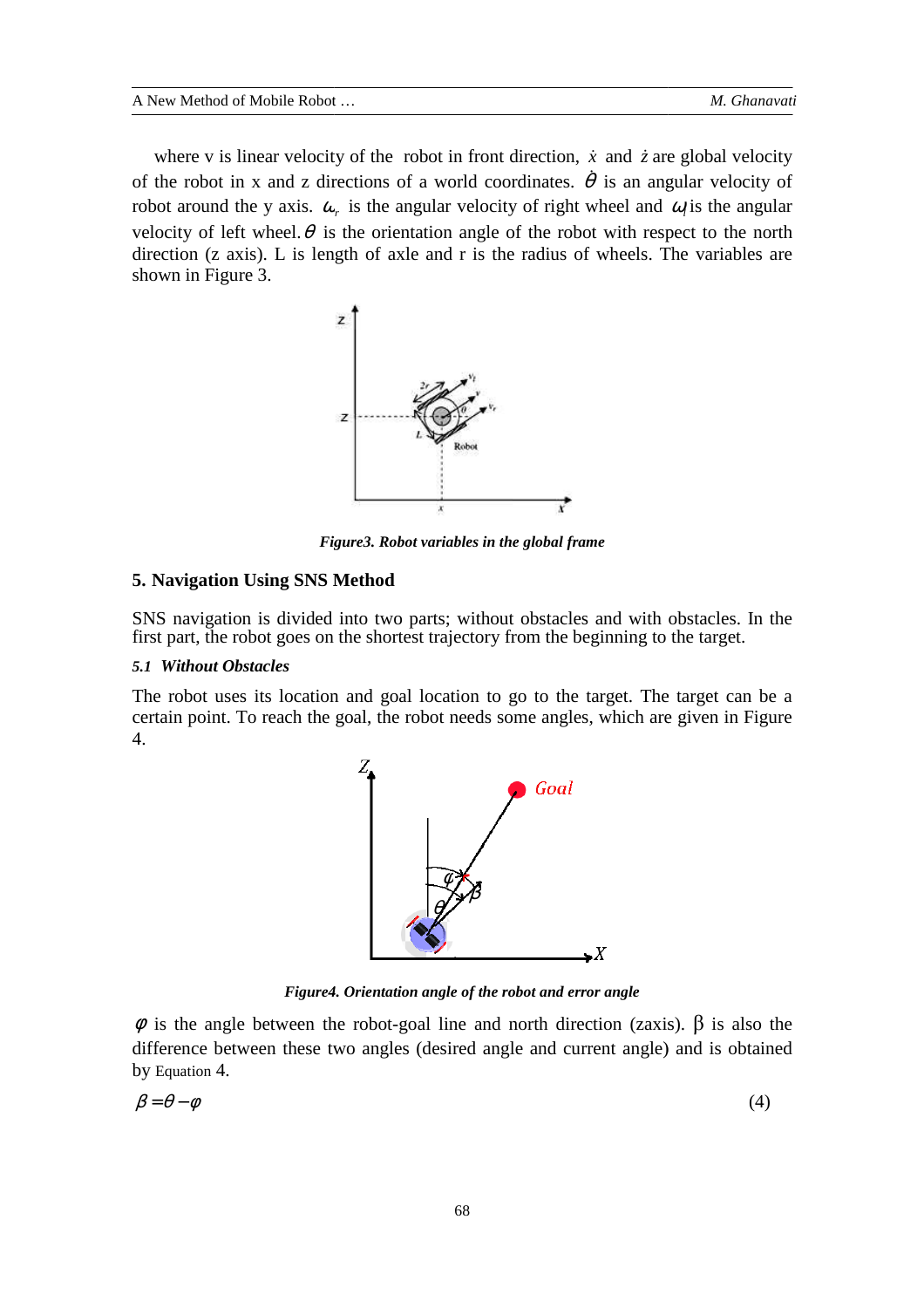where v is linear velocity of the robot in front direction,  $\dot{x}$  and  $\dot{z}$  are global velocity of the robot in x and z directions of a world coordinates.  $\dot{\theta}$  is an angular velocity of robot around the y axis.  $\omega_r$  is the angular velocity of right wheel and  $\omega_l$  is the angular velocity of left wheel.  $\theta$  is the orientation angle of the robot with respect to the north direction (z axis). L is length of axle and r is the radius of wheels. The variables are shown in Figure 3.



*Figure Figure3. Robot variables in the global frame* 

# **5. Navigation Using SNS Method**

SNS navigation is divided into two parts; without obstacles and with obstacles. In the first part, the robot goes on the shortest trajectory from the beginning to the target.

### *5.1 Without Obstacles*

The robot uses its location and goal location to go to the target. The target can be a certain point. To reach the goal, the robot needs some angles, which are given in Figure 4.



*Figure4. 4. Orientation angle of the robot and error angle* 

 $φ$  is the angle between the robot-goal line and north direction (zaxis).  $β$  is also the difference between these two angles (desired angle and current angle) and is obtained by Equation 4.

$$
\beta = \theta - \phi \tag{4}
$$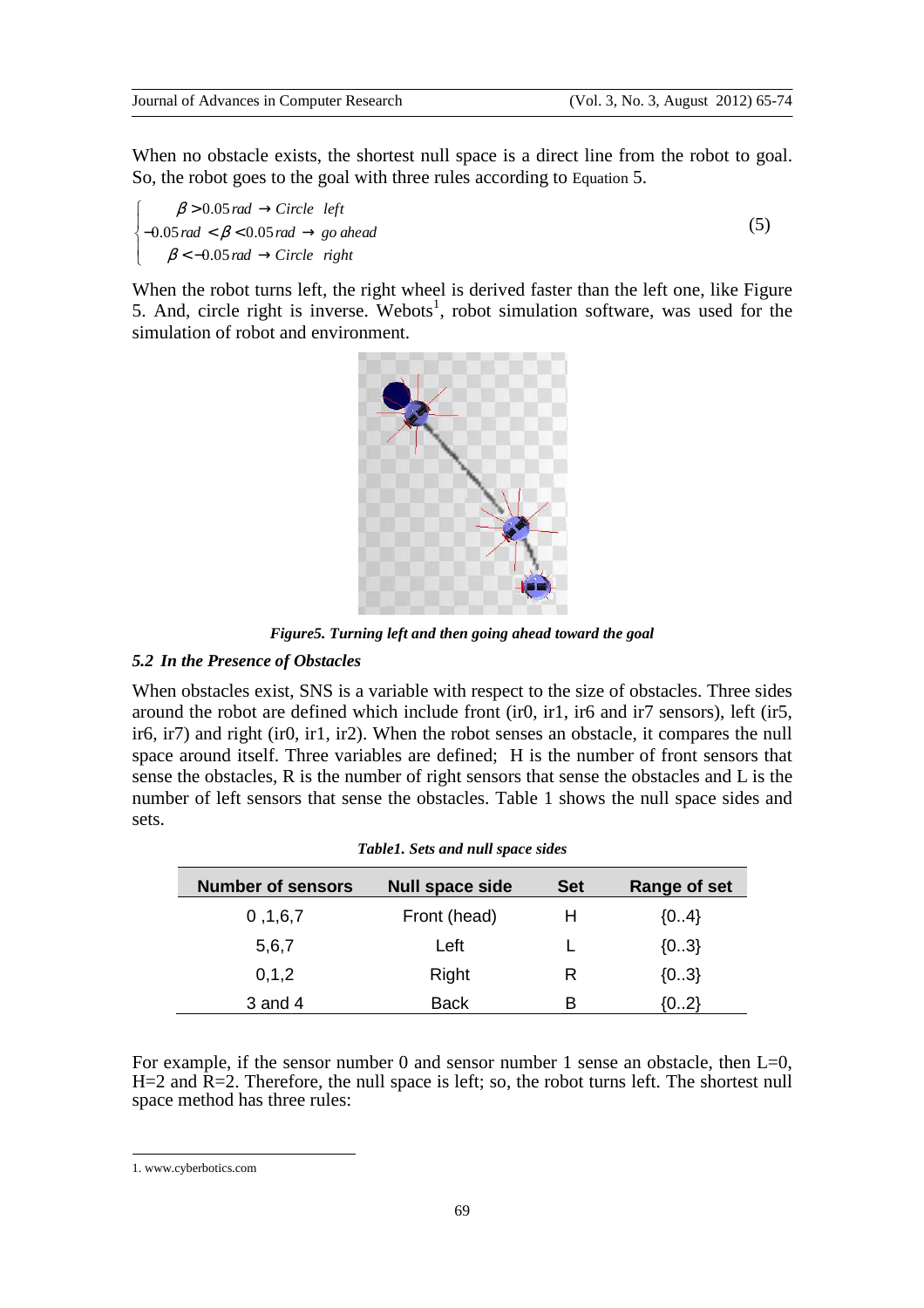When no obstacle exists, the shortest null space is a direct line from the robot to goal. So, the robot goes to the goal with three rules according to Equation 5.

 $\beta > 0.05$  rad  $\rightarrow$  Circle left  $\big\{-0.05\,rad\,<\beta\,{<}\,0.05\,rad\,\rightarrow g o\,ahead$  $\beta$  < -0.05 rad  $\rightarrow$  Circle right  $\mathbf{I}$ 

(5)

When the robot turns left, the right wheel is derived faster than the left one, like Figure 5. And, circle right is inverse. Webots<sup>1</sup>, robot simulation software, was used for the simulation of robot and environment.



*Figure5. Turning left and then going ahead toward the goal* 

# *5.2 In the Presence of Obstacles*

When obstacles exist, SNS is a variable with respect to the size of obstacles. Three sides around the robot are defined which include front (ir0, ir1, ir6 and ir7 sensors), left (ir5, ir6, ir7) and right (ir0, ir1, ir2). When the robot senses an obstacle, it compares the null space around itself. Three variables are defined; H is the number of front sensors that sense the obstacles, R is the number of right sensors that sense the obstacles and L is the number of left sensors that sense the obstacles. Table 1 shows the null space sides and sets.

| <b>Number of sensors</b> | <b>Null space side</b> | <b>Set</b> | Range of set |
|--------------------------|------------------------|------------|--------------|
| 0, 1, 6, 7               | Front (head)           | н          | ${04}$       |
| 5,6,7                    | Left                   |            | ${03}$       |
| 0, 1, 2                  | Right                  | R          | ${03}$       |
| $3$ and $4$              | <b>Back</b>            | в          | {02}         |

For example, if the sensor number 0 and sensor number 1 sense an obstacle, then  $L=0$ .  $H=2$  and  $\overline{R}=2$ . Therefore, the null space is left; so, the robot turns left. The shortest null space method has three rules:

 $\overline{a}$ 

<sup>1.</sup> www.cyberbotics.com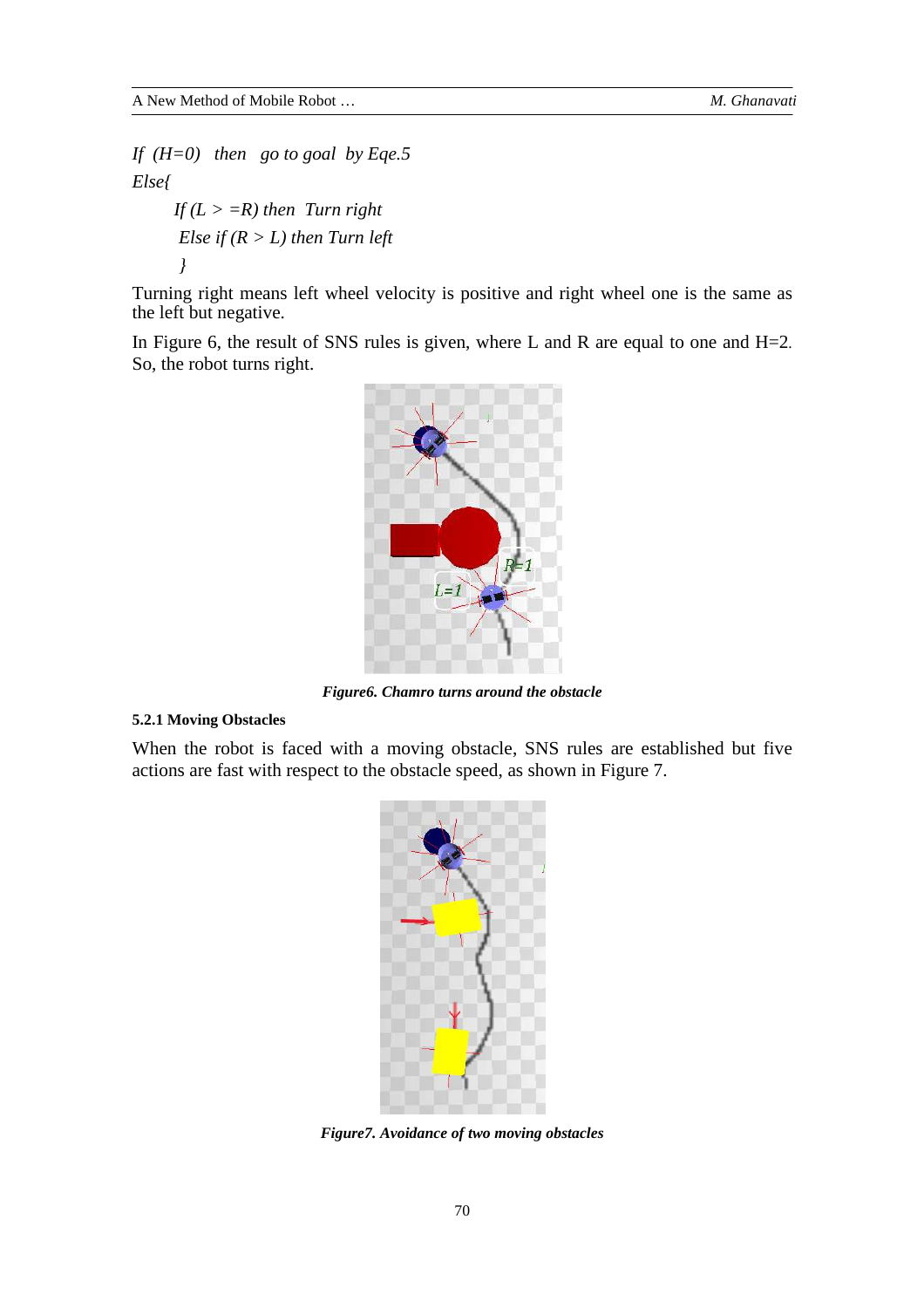*If (H=0) then go to goal by Eqe.5 Else{ If*  $(L > =R)$  *then Turn right Else if*  $(R > L)$  *then Turn left }* 

Turning right means left wheel velocity is positive and right wheel one is the same as the left but negative.

In Figure 6, the result of SNS rules is given, where L and R are equal to one and  $H=2$ . So, the robot turns right.



*Figure6. Chamro turns around the obstacle* 

# **5.2.1 Moving Obstacles**

When the robot is faced with a moving obstacle, SNS rules are established but five actions are fast with respect to the obstacle speed, as shown in Figure 7.



*Figure7. Avoidance of two moving obstacles*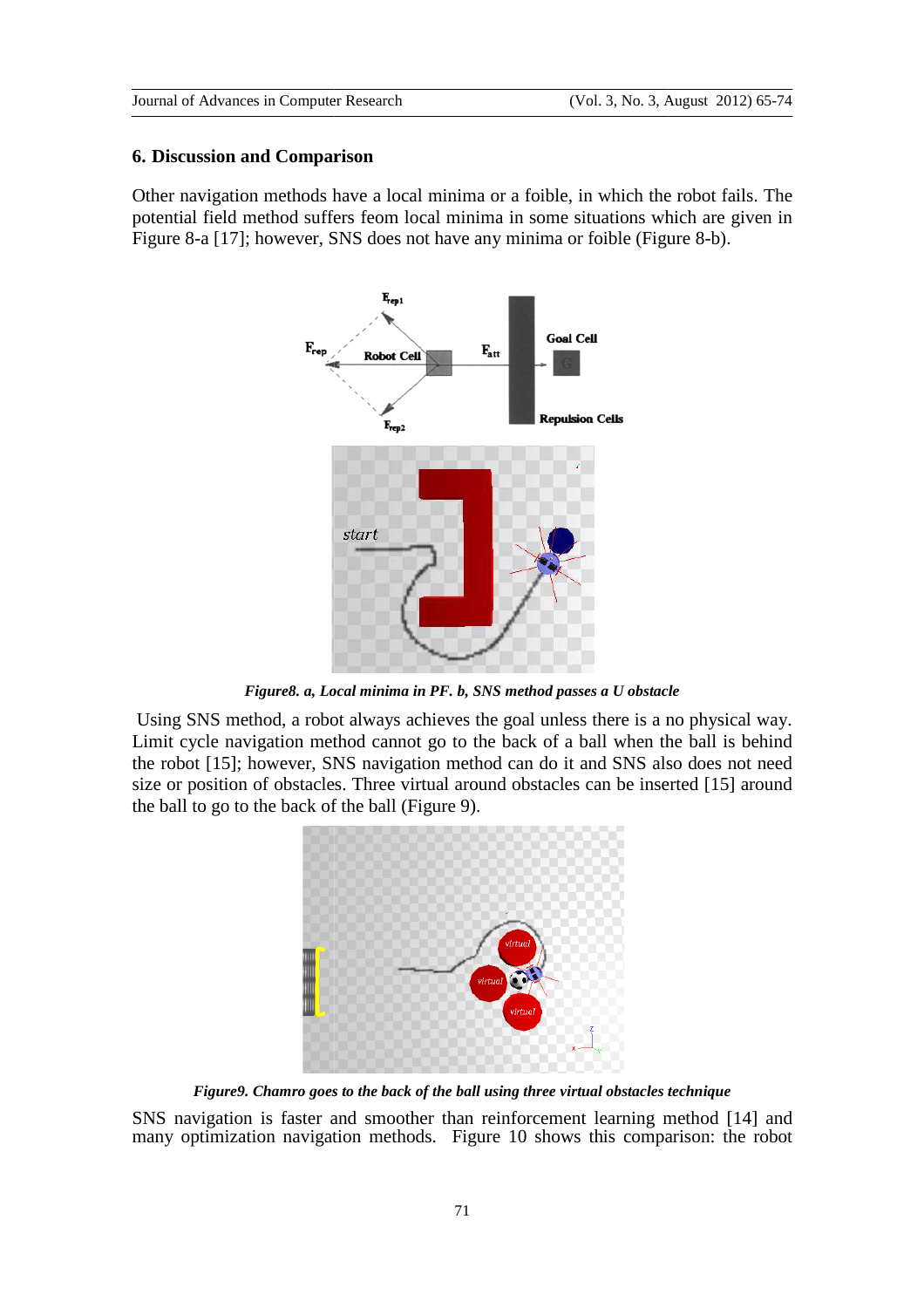#### **6. Discussion and Comparison**

Other navigation methods have a local minima or a foible, in which the robot fails. The potential field method suffers feom local minima in some situations which are given in potential field method suffers feom local minima in some situations which are g<br>Figure 8-a [17]; however, SNS does not have any minima or foible (Figure 8-b).



Figure8. a, Local minima in PF. b, SNS method passes a U obstacle

 Using SNS method, a robot always achieves the goal unless there is a no physical way. Limit cycle navigation method cannot go to the back of a ball when the ball is behind the robot [15]; however, SNS navigation method can do it and SNS also does not need size or position of obstacles. Three virtual around obstacles can be inserted [15] around the ball to go to the back of the ball (Figure 9).



Figure9. Chamro goes to the back of the ball using three virtual obstacles technique

SNS navigation is faster and smoother than reinforcement learning method [14] and many optimization navigation methods. Figure 10 shows this comparison: the robot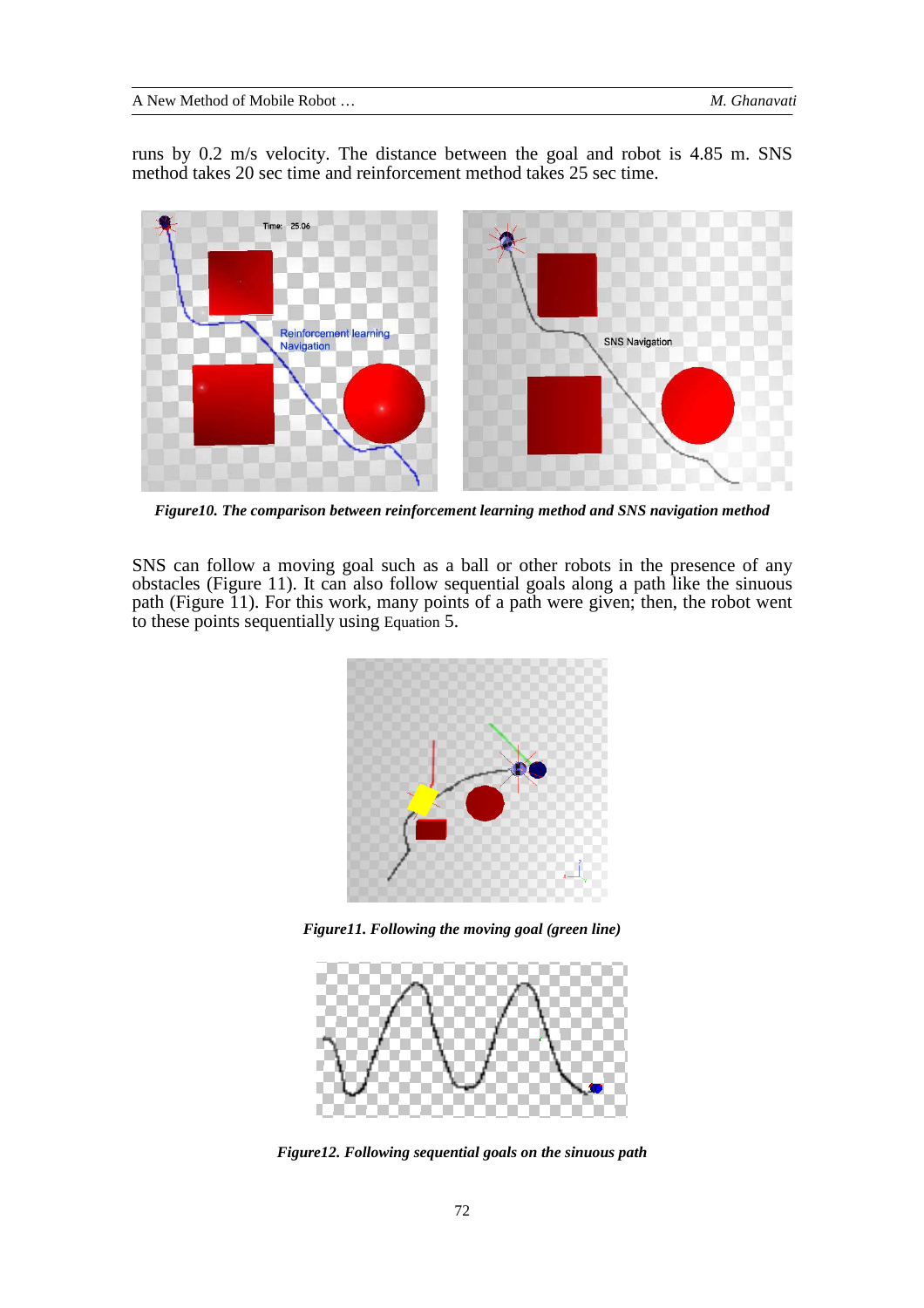runs by 0.2 m/s velocity. The distance between the goal and robot is 4.85 m. SNS method takes 20 sec time and reinforcement method takes 25 sec time.



*Figure10. The comparison between reinforcement learning method and SNS navigation method* 

SNS can follow a moving goal such as a ball or other robots in the presence of any obstacles (Figure 11). It can also follow sequential goals along a path like the sinuous path (Figure 11). For this work, many points of a path were given; then, the robot went to these points sequentially using Equation 5.



*Figure11. Following the moving goal (green line)*



*Figure12. Following sequential goals on the sinuous path*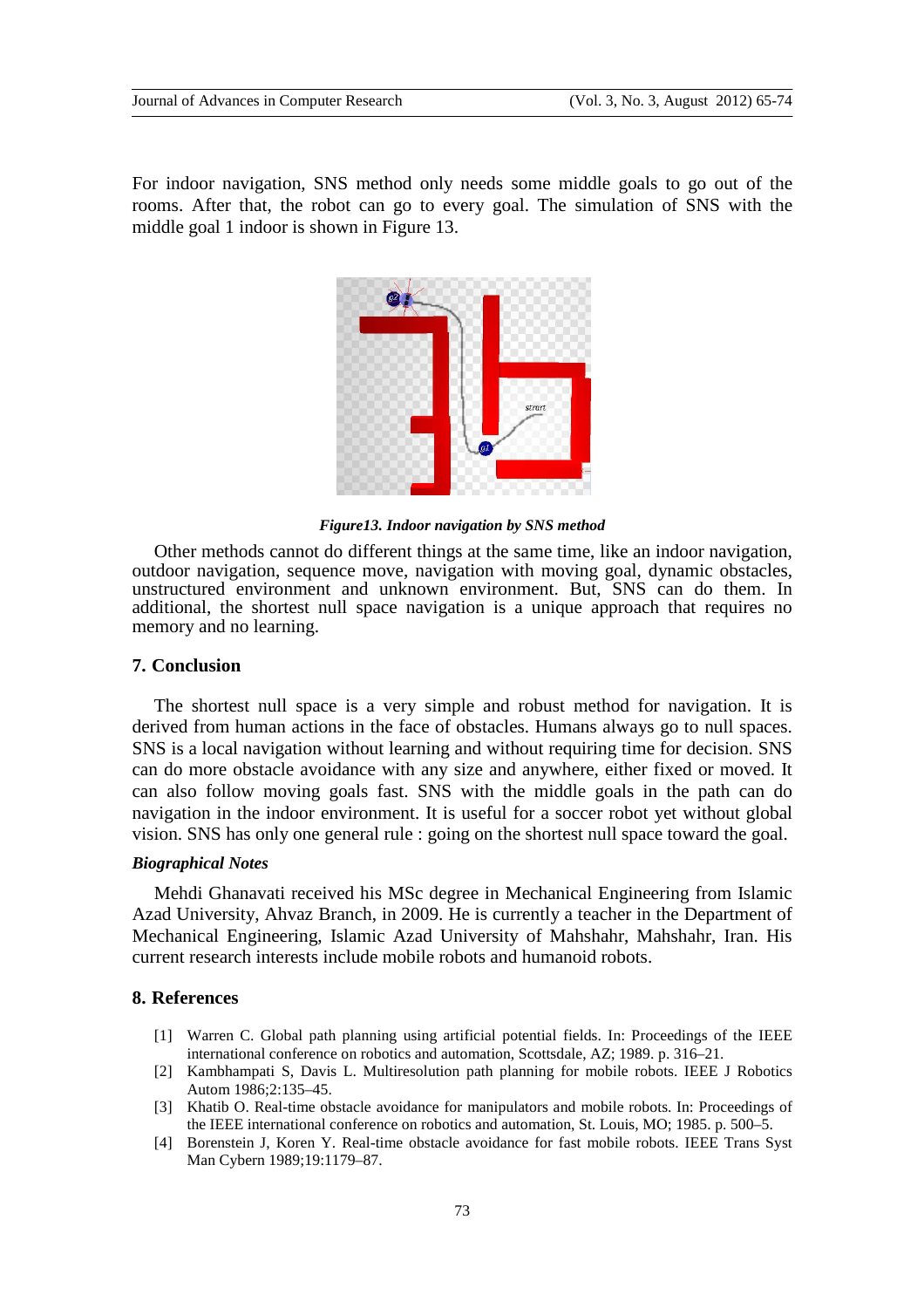For indoor navigation, SNS method only needs some middle goals to go out of the rooms. After that, the robot can go to every goal. The simulation of SNS with the middle goal 1 indoor is shown in Figure 13.



*Figure13. Indoor navigation by SNS method* 

Other methods cannot do different things at the same time, like an indoor navigation, outdoor navigation, sequence move, navigation with moving goal, dynamic obstacles, unstructured environment and unknown environment. But, SNS can do them. In additional, the shortest null space navigation is a unique approach that requires no memory and no learning.

#### **7. Conclusion**

The shortest null space is a very simple and robust method for navigation. It is derived from human actions in the face of obstacles. Humans always go to null spaces. SNS is a local navigation without learning and without requiring time for decision. SNS can do more obstacle avoidance with any size and anywhere, either fixed or moved. It can also follow moving goals fast. SNS with the middle goals in the path can do navigation in the indoor environment. It is useful for a soccer robot yet without global vision. SNS has only one general rule : going on the shortest null space toward the goal.

#### *Biographical Notes*

Mehdi Ghanavati received his MSc degree in Mechanical Engineering from Islamic Azad University, Ahvaz Branch, in 2009. He is currently a teacher in the Department of Mechanical Engineering, Islamic Azad University of Mahshahr, Mahshahr, Iran. His current research interests include mobile robots and humanoid robots.

# **8. References**

- [1] Warren C. Global path planning using artificial potential fields. In: Proceedings of the IEEE international conference on robotics and automation, Scottsdale, AZ; 1989. p. 316–21.
- [2] Kambhampati S, Davis L. Multiresolution path planning for mobile robots. IEEE J Robotics Autom 1986;2:135–45.
- [3] Khatib O. Real-time obstacle avoidance for manipulators and mobile robots. In: Proceedings of the IEEE international conference on robotics and automation, St. Louis, MO; 1985. p. 500–5.
- [4] Borenstein J, Koren Y. Real-time obstacle avoidance for fast mobile robots. IEEE Trans Syst Man Cybern 1989;19:1179–87.